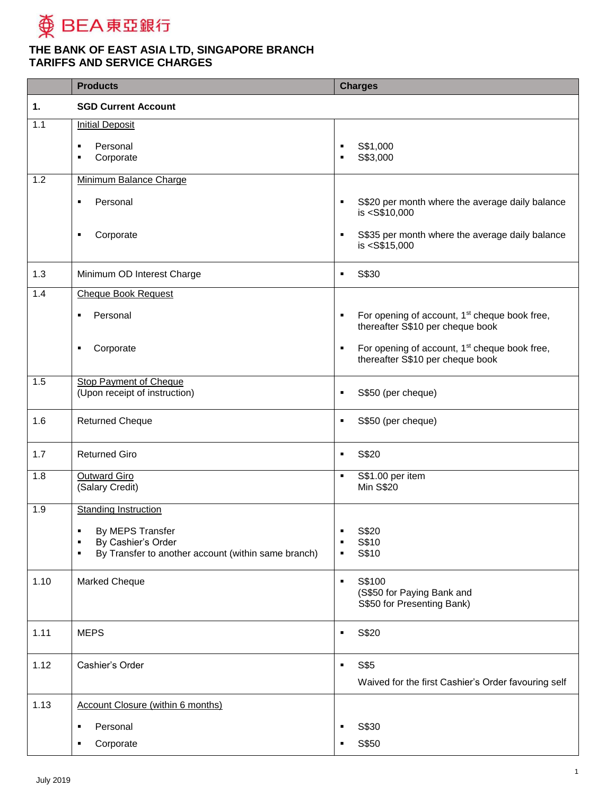

|      | <b>Products</b>                                                                     |                     | <b>Charges</b>                                                                                |
|------|-------------------------------------------------------------------------------------|---------------------|-----------------------------------------------------------------------------------------------|
| 1.   | <b>SGD Current Account</b>                                                          |                     |                                                                                               |
| 1.1  | <b>Initial Deposit</b>                                                              |                     |                                                                                               |
|      | Personal<br>$\blacksquare$                                                          | $\blacksquare$      | S\$1,000                                                                                      |
|      | Corporate<br>п                                                                      | $\blacksquare$      | S\$3,000                                                                                      |
| 1.2  | Minimum Balance Charge                                                              |                     |                                                                                               |
|      | Personal<br>٠                                                                       | $\blacksquare$      | S\$20 per month where the average daily balance<br>is <s\$10,000< th=""></s\$10,000<>         |
|      | Corporate<br>٠                                                                      |                     | S\$35 per month where the average daily balance<br>is <s\$15,000< th=""></s\$15,000<>         |
| 1.3  | Minimum OD Interest Charge                                                          | $\blacksquare$      | S\$30                                                                                         |
| 1.4  | <b>Cheque Book Request</b>                                                          |                     |                                                                                               |
|      | Personal<br>$\blacksquare$                                                          | $\blacksquare$      | For opening of account, 1 <sup>st</sup> cheque book free,<br>thereafter S\$10 per cheque book |
|      | Corporate<br>٠                                                                      | ٠                   | For opening of account, 1 <sup>st</sup> cheque book free,<br>thereafter S\$10 per cheque book |
| 1.5  | <b>Stop Payment of Cheque</b><br>(Upon receipt of instruction)                      | $\blacksquare$      | S\$50 (per cheque)                                                                            |
| 1.6  | <b>Returned Cheque</b>                                                              | $\blacksquare$      | S\$50 (per cheque)                                                                            |
| 1.7  | <b>Returned Giro</b>                                                                | $\blacksquare$      | S\$20                                                                                         |
| 1.8  | <b>Outward Giro</b><br>(Salary Credit)                                              | $\blacksquare$      | S\$1.00 per item<br><b>Min S\$20</b>                                                          |
| 1.9  | <b>Standing Instruction</b>                                                         |                     |                                                                                               |
|      | By MEPS Transfer<br>٠                                                               | ٠                   | S\$20                                                                                         |
|      | By Cashier's Order<br>٠<br>By Transfer to another account (within same branch)<br>٠ | $\blacksquare$<br>٠ | S\$10<br>S\$10                                                                                |
|      |                                                                                     |                     |                                                                                               |
| 1.10 | Marked Cheque                                                                       | $\blacksquare$      | S\$100<br>(S\$50 for Paying Bank and<br>S\$50 for Presenting Bank)                            |
| 1.11 | <b>MEPS</b>                                                                         | ٠                   | S\$20                                                                                         |
| 1.12 | Cashier's Order                                                                     | ٠                   | S\$5                                                                                          |
|      |                                                                                     |                     | Waived for the first Cashier's Order favouring self                                           |
| 1.13 | <b>Account Closure (within 6 months)</b>                                            |                     |                                                                                               |
|      | Personal<br>٠                                                                       | ٠                   | S\$30                                                                                         |
|      | Corporate<br>٠                                                                      | п                   | S\$50                                                                                         |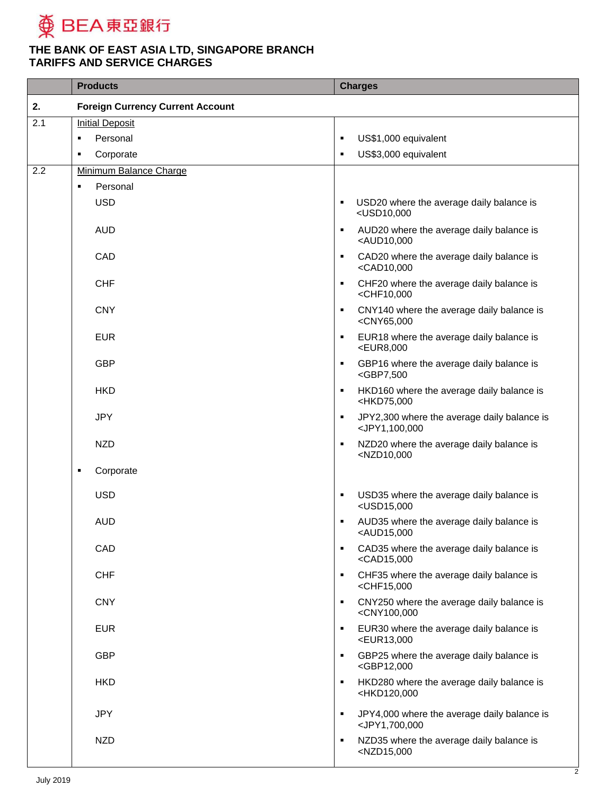

|     | <b>Products</b>                         | <b>Charges</b>                                                                                |
|-----|-----------------------------------------|-----------------------------------------------------------------------------------------------|
| 2.  | <b>Foreign Currency Current Account</b> |                                                                                               |
| 2.1 | <b>Initial Deposit</b>                  |                                                                                               |
|     | Personal<br>٠                           | US\$1,000 equivalent<br>п                                                                     |
|     | Corporate<br>٠                          | US\$3,000 equivalent<br>٠                                                                     |
| 2.2 | Minimum Balance Charge                  |                                                                                               |
|     | Personal<br>п                           |                                                                                               |
|     | <b>USD</b>                              | USD20 where the average daily balance is<br>٠<br><usd10,000< th=""></usd10,000<>              |
|     | <b>AUD</b>                              | AUD20 where the average daily balance is<br>٠<br><aud10,000< th=""></aud10,000<>              |
|     | CAD                                     | CAD20 where the average daily balance is<br>٠<br><cad10,000< th=""></cad10,000<>              |
|     | <b>CHF</b>                              | CHF20 where the average daily balance is<br>٠<br><chf10,000< th=""></chf10,000<>              |
|     | <b>CNY</b>                              | CNY140 where the average daily balance is<br>٠<br><cny65,000< th=""></cny65,000<>             |
|     | <b>EUR</b>                              | EUR18 where the average daily balance is<br>٠<br><eur8,000< th=""></eur8,000<>                |
|     | <b>GBP</b>                              | GBP16 where the average daily balance is<br>٠<br><gbp7,500< th=""></gbp7,500<>                |
|     | <b>HKD</b>                              | HKD160 where the average daily balance is<br>٠<br><hkd75,000< th=""></hkd75,000<>             |
|     | <b>JPY</b>                              | JPY2,300 where the average daily balance is<br>٠<br><jpy1,100,000< th=""></jpy1,100,000<>     |
|     | <b>NZD</b>                              | NZD20 where the average daily balance is<br>٠<br><nzd10,000< th=""></nzd10,000<>              |
|     | Corporate<br>п                          |                                                                                               |
|     | <b>USD</b>                              | USD35 where the average daily balance is<br>٠<br><usd15,000< th=""></usd15,000<>              |
|     | <b>AUD</b>                              | AUD35 where the average daily balance is<br>٠<br><aud15,000< th=""></aud15,000<>              |
|     | CAD                                     | CAD35 where the average daily balance is<br>٠<br><cad15,000< th=""></cad15,000<>              |
|     | <b>CHF</b>                              | CHF35 where the average daily balance is<br>٠<br>$<$ CHF15,000                                |
|     | <b>CNY</b>                              | CNY250 where the average daily balance is<br>٠<br><cny100,000< th=""></cny100,000<>           |
|     | <b>EUR</b>                              | EUR30 where the average daily balance is<br>$\blacksquare$<br><eur13,000< th=""></eur13,000<> |
|     | <b>GBP</b>                              | GBP25 where the average daily balance is<br>٠<br><gbp12,000< th=""></gbp12,000<>              |
|     | <b>HKD</b>                              | HKD280 where the average daily balance is<br>٠<br><hkd120,000< th=""></hkd120,000<>           |
|     | <b>JPY</b>                              | JPY4,000 where the average daily balance is<br>٠<br><jpy1,700,000< th=""></jpy1,700,000<>     |
|     | <b>NZD</b>                              | NZD35 where the average daily balance is<br>٠<br><nzd15,000< th=""></nzd15,000<>              |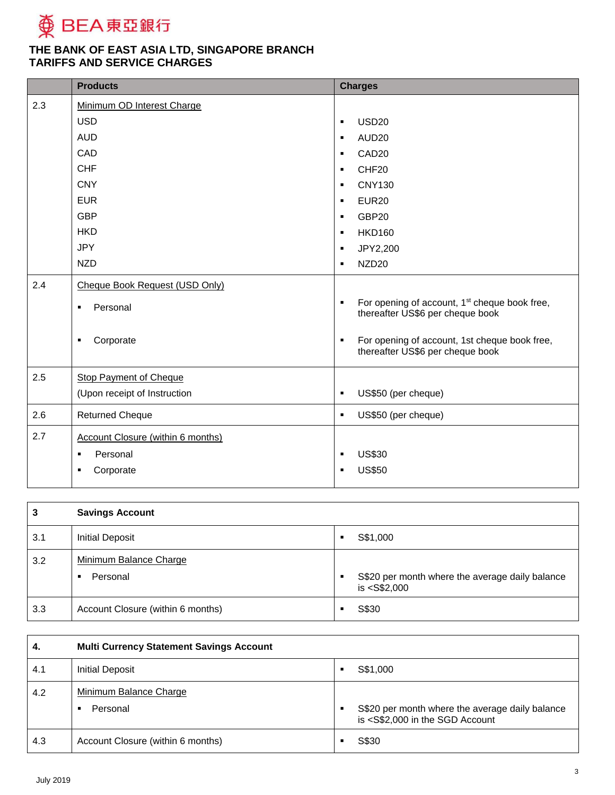

| <b>Products</b>                          | <b>Charges</b>                                                                                                  |
|------------------------------------------|-----------------------------------------------------------------------------------------------------------------|
| Minimum OD Interest Charge               |                                                                                                                 |
| <b>USD</b>                               | <b>USD20</b><br>$\blacksquare$                                                                                  |
| <b>AUD</b>                               | AUD <sub>20</sub><br>$\blacksquare$                                                                             |
| CAD                                      | CAD <sub>20</sub><br>$\blacksquare$                                                                             |
| <b>CHF</b>                               | CHF <sub>20</sub><br>$\blacksquare$                                                                             |
| <b>CNY</b>                               | <b>CNY130</b><br>$\blacksquare$                                                                                 |
| <b>EUR</b>                               | <b>EUR20</b><br>$\blacksquare$                                                                                  |
| <b>GBP</b>                               | GBP20<br>$\blacksquare$                                                                                         |
| <b>HKD</b>                               | <b>HKD160</b><br>$\blacksquare$                                                                                 |
| <b>JPY</b>                               | JPY2,200<br>٠                                                                                                   |
| <b>NZD</b>                               | NZD <sub>20</sub><br>$\blacksquare$                                                                             |
| Cheque Book Request (USD Only)           |                                                                                                                 |
| Personal<br>٠                            | For opening of account, 1 <sup>st</sup> cheque book free,<br>$\blacksquare$<br>thereafter US\$6 per cheque book |
| Corporate<br>٠                           | For opening of account, 1st cheque book free,<br>thereafter US\$6 per cheque book                               |
| <b>Stop Payment of Cheque</b>            |                                                                                                                 |
| (Upon receipt of Instruction             | US\$50 (per cheque)<br>$\blacksquare$                                                                           |
| <b>Returned Cheque</b>                   | US\$50 (per cheque)<br>$\blacksquare$                                                                           |
| <b>Account Closure (within 6 months)</b> |                                                                                                                 |
| Personal<br>٠                            | <b>US\$30</b><br>$\blacksquare$                                                                                 |
| Corporate<br>$\blacksquare$              | <b>US\$50</b>                                                                                                   |
|                                          |                                                                                                                 |

| 3   | <b>Savings Account</b>             |   |                                                                    |
|-----|------------------------------------|---|--------------------------------------------------------------------|
| 3.1 | Initial Deposit                    | в | S\$1,000                                                           |
| 3.2 | Minimum Balance Charge<br>Personal |   | S\$20 per month where the average daily balance<br>$is <$ S\$2,000 |
| 3.3 | Account Closure (within 6 months)  | в | S\$30                                                              |

| 4.  | <b>Multi Currency Statement Savings Account</b> |   |                                                                                                                   |
|-----|-------------------------------------------------|---|-------------------------------------------------------------------------------------------------------------------|
| 4.1 | Initial Deposit                                 | ٠ | S\$1,000                                                                                                          |
| 4.2 | Minimum Balance Charge<br>Personal              | ٠ | S\$20 per month where the average daily balance<br>is <s\$2,000 account<="" in="" sgd="" td="" the=""></s\$2,000> |
| 4.3 | Account Closure (within 6 months)               | п | S\$30                                                                                                             |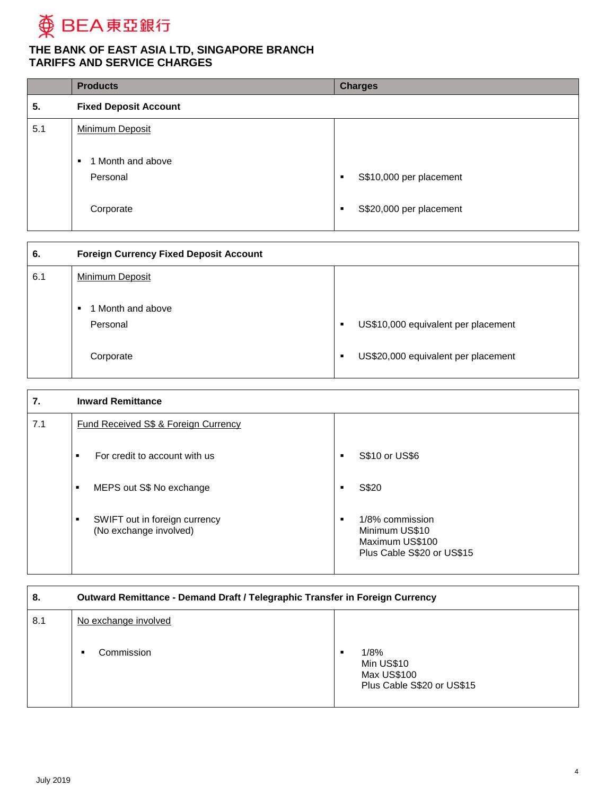

|     | <b>Products</b>                                 | <b>Charges</b>               |
|-----|-------------------------------------------------|------------------------------|
| 5.  | <b>Fixed Deposit Account</b>                    |                              |
| 5.1 | Minimum Deposit                                 |                              |
|     | 1 Month and above<br>$\blacksquare$<br>Personal | S\$10,000 per placement<br>п |
|     | Corporate                                       | S\$20,000 per placement<br>п |

| 6.  | <b>Foreign Currency Fixed Deposit Account</b> |                                          |
|-----|-----------------------------------------------|------------------------------------------|
| 6.1 | Minimum Deposit                               |                                          |
|     | 1 Month and above<br>Personal                 | US\$10,000 equivalent per placement<br>п |
|     | Corporate                                     | US\$20,000 equivalent per placement<br>٠ |

| 7.  | <b>Inward Remittance</b>                                |                                                                                         |
|-----|---------------------------------------------------------|-----------------------------------------------------------------------------------------|
| 7.1 | <b>Fund Received S\$ &amp; Foreign Currency</b>         |                                                                                         |
|     | For credit to account with us<br>п                      | S\$10 or US\$6<br>п                                                                     |
|     | MEPS out S\$ No exchange<br>п                           | S\$20<br>п                                                                              |
|     | SWIFT out in foreign currency<br>(No exchange involved) | 1/8% commission<br>п<br>Minimum US\$10<br>Maximum US\$100<br>Plus Cable S\$20 or US\$15 |

| 8.  | Outward Remittance - Demand Draft / Telegraphic Transfer in Foreign Currency |                                                                      |
|-----|------------------------------------------------------------------------------|----------------------------------------------------------------------|
| 8.1 | No exchange involved<br>Commission                                           | 1/8%<br>п<br>Min US\$10<br>Max US\$100<br>Plus Cable S\$20 or US\$15 |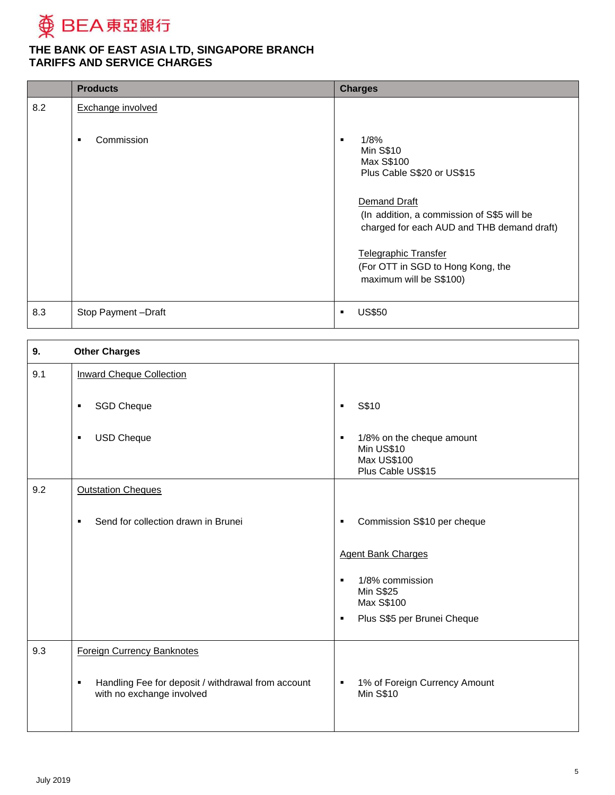

|     | <b>Products</b>    | <b>Charges</b>                                                                                                                                                                                                                                                                       |
|-----|--------------------|--------------------------------------------------------------------------------------------------------------------------------------------------------------------------------------------------------------------------------------------------------------------------------------|
| 8.2 | Exchange involved  |                                                                                                                                                                                                                                                                                      |
|     | Commission<br>п    | 1/8%<br>п<br><b>Min S\$10</b><br>Max S\$100<br>Plus Cable S\$20 or US\$15<br>Demand Draft<br>(In addition, a commission of S\$5 will be<br>charged for each AUD and THB demand draft)<br><b>Telegraphic Transfer</b><br>(For OTT in SGD to Hong Kong, the<br>maximum will be S\$100) |
| 8.3 | Stop Payment-Draft | <b>US\$50</b><br>$\blacksquare$                                                                                                                                                                                                                                                      |

| 9.  | <b>Other Charges</b>                                                                              |                                                                                                      |
|-----|---------------------------------------------------------------------------------------------------|------------------------------------------------------------------------------------------------------|
| 9.1 | <b>Inward Cheque Collection</b>                                                                   |                                                                                                      |
|     | <b>SGD Cheque</b><br>٠                                                                            | S\$10<br>$\blacksquare$                                                                              |
|     | <b>USD Cheque</b><br>٠                                                                            | 1/8% on the cheque amount<br>$\blacksquare$<br>Min US\$10<br><b>Max US\$100</b><br>Plus Cable US\$15 |
| 9.2 | <b>Outstation Cheques</b>                                                                         |                                                                                                      |
|     | Send for collection drawn in Brunei<br>$\blacksquare$                                             | Commission S\$10 per cheque<br>$\blacksquare$                                                        |
|     |                                                                                                   | <b>Agent Bank Charges</b>                                                                            |
|     |                                                                                                   | 1/8% commission<br><b>Min S\$25</b><br>Max S\$100<br>Plus S\$5 per Brunei Cheque<br>$\blacksquare$   |
| 9.3 | <b>Foreign Currency Banknotes</b>                                                                 |                                                                                                      |
|     | Handling Fee for deposit / withdrawal from account<br>$\blacksquare$<br>with no exchange involved | 1% of Foreign Currency Amount<br>$\blacksquare$<br><b>Min S\$10</b>                                  |